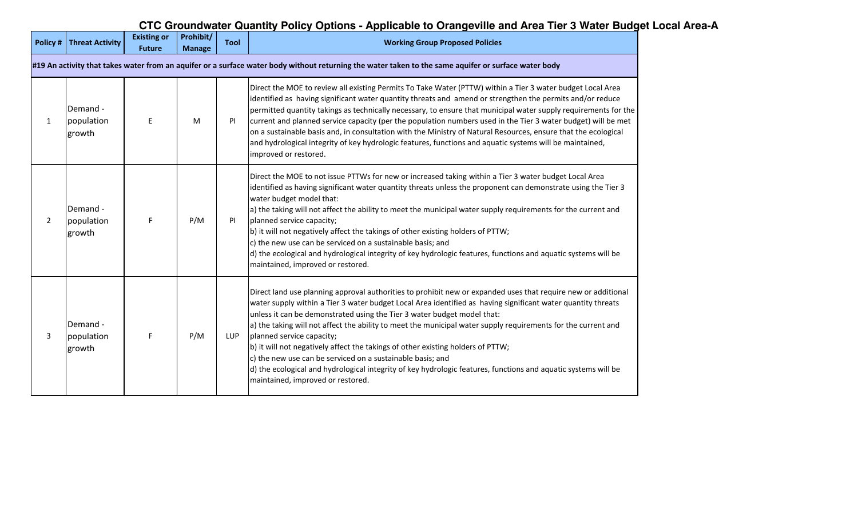# **CTC Groundwater Quantity Policy Options - Applicable to Orangeville and Area Tier 3 Water Budget Local Area-A**

| Policy#                                                                                                                                              | Threat Activity                  | <b>Existing or</b><br><b>Future</b> | Prohibit/<br><b>Manage</b> | <b>Tool</b> | <b>Working Group Proposed Policies</b>                                                                                                                                                                                                                                                                                                                                                                                                                                                                                                                                                                                                                                                                                                                         |  |
|------------------------------------------------------------------------------------------------------------------------------------------------------|----------------------------------|-------------------------------------|----------------------------|-------------|----------------------------------------------------------------------------------------------------------------------------------------------------------------------------------------------------------------------------------------------------------------------------------------------------------------------------------------------------------------------------------------------------------------------------------------------------------------------------------------------------------------------------------------------------------------------------------------------------------------------------------------------------------------------------------------------------------------------------------------------------------------|--|
| #19 An activity that takes water from an aquifer or a surface water body without returning the water taken to the same aquifer or surface water body |                                  |                                     |                            |             |                                                                                                                                                                                                                                                                                                                                                                                                                                                                                                                                                                                                                                                                                                                                                                |  |
| $\mathbf{1}$                                                                                                                                         | Demand -<br>population<br>growth | E                                   | M                          | <b>PI</b>   | Direct the MOE to review all existing Permits To Take Water (PTTW) within a Tier 3 water budget Local Area<br>identified as having significant water quantity threats and amend or strengthen the permits and/or reduce<br>permitted quantity takings as technically necessary, to ensure that municipal water supply requirements for the<br>current and planned service capacity (per the population numbers used in the Tier 3 water budget) will be met<br>on a sustainable basis and, in consultation with the Ministry of Natural Resources, ensure that the ecological<br>and hydrological integrity of key hydrologic features, functions and aquatic systems will be maintained,<br>improved or restored.                                             |  |
| $\overline{2}$                                                                                                                                       | Demand -<br>population<br>growth | F                                   | P/M                        | PI          | Direct the MOE to not issue PTTWs for new or increased taking within a Tier 3 water budget Local Area<br>identified as having significant water quantity threats unless the proponent can demonstrate using the Tier 3<br>water budget model that:<br>a) the taking will not affect the ability to meet the municipal water supply requirements for the current and<br>planned service capacity;<br>b) it will not negatively affect the takings of other existing holders of PTTW;<br>c) the new use can be serviced on a sustainable basis; and<br>d) the ecological and hydrological integrity of key hydrologic features, functions and aquatic systems will be<br>maintained, improved or restored.                                                       |  |
| 3                                                                                                                                                    | Demand -<br>population<br>growth | F                                   | P/M                        | <b>LUP</b>  | Direct land use planning approval authorities to prohibit new or expanded uses that require new or additional<br>water supply within a Tier 3 water budget Local Area identified as having significant water quantity threats<br>unless it can be demonstrated using the Tier 3 water budget model that:<br>a) the taking will not affect the ability to meet the municipal water supply requirements for the current and<br>planned service capacity;<br>b) it will not negatively affect the takings of other existing holders of PTTW;<br>c) the new use can be serviced on a sustainable basis; and<br>d) the ecological and hydrological integrity of key hydrologic features, functions and aquatic systems will be<br>maintained, improved or restored. |  |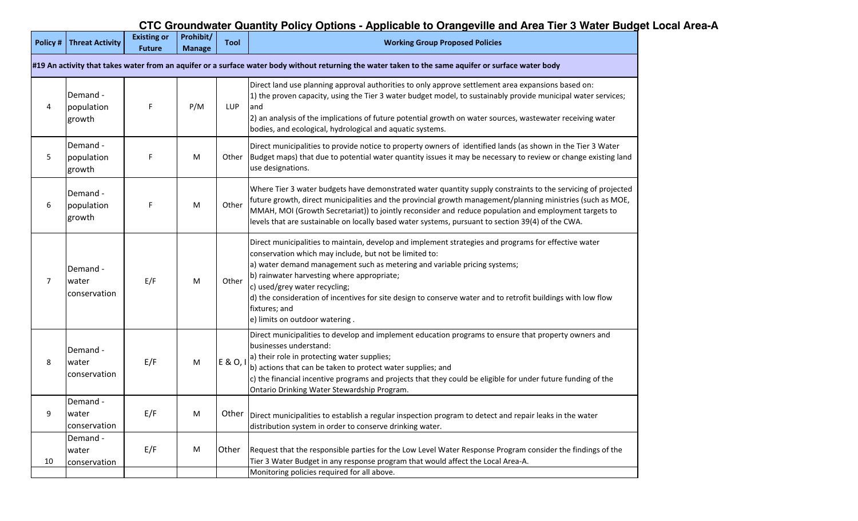# **CTC Groundwater Quantity Policy Options - Applicable to Orangeville and Area Tier 3 Water Budget Local Area-A**

|                                                                                                                                                      | <b>Policy # Threat Activity</b>   | <b>Existing or</b><br><b>Future</b> | Prohibit/<br><b>Manage</b> | <b>Tool</b> | <b>Working Group Proposed Policies</b>                                                                                                                                                                                                                                                                                                                                                                                                                                                        |  |
|------------------------------------------------------------------------------------------------------------------------------------------------------|-----------------------------------|-------------------------------------|----------------------------|-------------|-----------------------------------------------------------------------------------------------------------------------------------------------------------------------------------------------------------------------------------------------------------------------------------------------------------------------------------------------------------------------------------------------------------------------------------------------------------------------------------------------|--|
| #19 An activity that takes water from an aquifer or a surface water body without returning the water taken to the same aquifer or surface water body |                                   |                                     |                            |             |                                                                                                                                                                                                                                                                                                                                                                                                                                                                                               |  |
| 4                                                                                                                                                    | Demand -<br>population<br>growth  | F                                   | P/M                        | LUP         | Direct land use planning approval authorities to only approve settlement area expansions based on:<br>1) the proven capacity, using the Tier 3 water budget model, to sustainably provide municipal water services;<br>and<br>2) an analysis of the implications of future potential growth on water sources, wastewater receiving water<br>bodies, and ecological, hydrological and aquatic systems.                                                                                         |  |
| 5                                                                                                                                                    | Demand -<br>population<br>growth  | F                                   | M                          | Other       | Direct municipalities to provide notice to property owners of identified lands (as shown in the Tier 3 Water<br>Budget maps) that due to potential water quantity issues it may be necessary to review or change existing land<br>use designations.                                                                                                                                                                                                                                           |  |
| 6                                                                                                                                                    | Demand -<br>population<br>growth  | F                                   | M                          | Other       | Where Tier 3 water budgets have demonstrated water quantity supply constraints to the servicing of projected<br>future growth, direct municipalities and the provincial growth management/planning ministries (such as MOE,<br>MMAH, MOI (Growth Secretariat)) to jointly reconsider and reduce population and employment targets to<br>levels that are sustainable on locally based water systems, pursuant to section 39(4) of the CWA.                                                     |  |
| $\overline{7}$                                                                                                                                       | Demand -<br>water<br>conservation | E/F                                 | M                          | Other       | Direct municipalities to maintain, develop and implement strategies and programs for effective water<br>conservation which may include, but not be limited to:<br>a) water demand management such as metering and variable pricing systems;<br>b) rainwater harvesting where appropriate;<br>c) used/grey water recycling;<br>d) the consideration of incentives for site design to conserve water and to retrofit buildings with low flow<br>fixtures; and<br>e) limits on outdoor watering. |  |
| 8                                                                                                                                                    | Demand -<br>water<br>conservation | E/F                                 | M                          | E & O, I    | Direct municipalities to develop and implement education programs to ensure that property owners and<br>businesses understand:<br>a) their role in protecting water supplies;<br>b) actions that can be taken to protect water supplies; and<br>c) the financial incentive programs and projects that they could be eligible for under future funding of the<br>Ontario Drinking Water Stewardship Program.                                                                                   |  |
| 9                                                                                                                                                    | Demand -<br>water<br>conservation | E/F                                 | M                          | Other       | Direct municipalities to establish a regular inspection program to detect and repair leaks in the water<br>distribution system in order to conserve drinking water.                                                                                                                                                                                                                                                                                                                           |  |
| 10                                                                                                                                                   | Demand -<br>water<br>conservation | E/F                                 | M                          | Other       | Request that the responsible parties for the Low Level Water Response Program consider the findings of the<br>Tier 3 Water Budget in any response program that would affect the Local Area-A.<br>Monitoring policies required for all above.                                                                                                                                                                                                                                                  |  |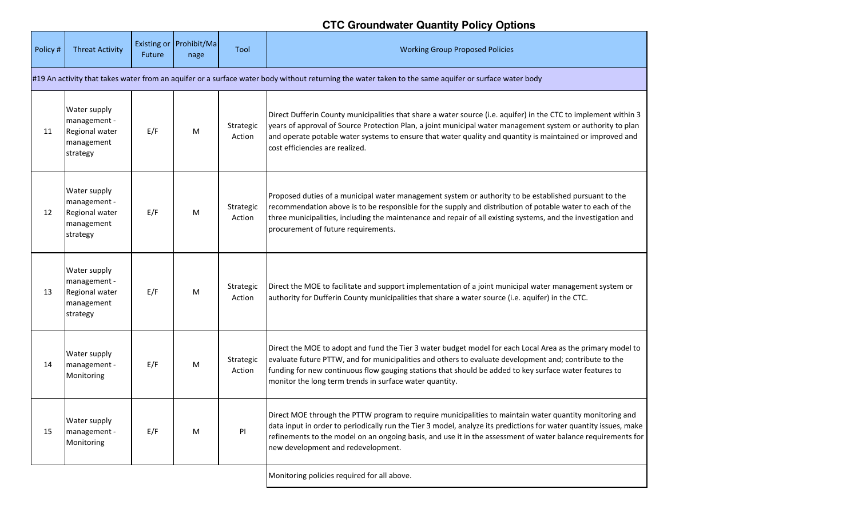## **CTC Groundwater Quantity Policy Options**

| Policy #                                                                                                                                             | <b>Threat Activity</b>                                                   | Future | Existing or Prohibit/Ma<br>nage | Tool                | <b>Working Group Proposed Policies</b>                                                                                                                                                                                                                                                                                                                                                    |  |  |
|------------------------------------------------------------------------------------------------------------------------------------------------------|--------------------------------------------------------------------------|--------|---------------------------------|---------------------|-------------------------------------------------------------------------------------------------------------------------------------------------------------------------------------------------------------------------------------------------------------------------------------------------------------------------------------------------------------------------------------------|--|--|
| #19 An activity that takes water from an aquifer or a surface water body without returning the water taken to the same aquifer or surface water body |                                                                          |        |                                 |                     |                                                                                                                                                                                                                                                                                                                                                                                           |  |  |
| 11                                                                                                                                                   | Water supply<br>management -<br>Regional water<br>management<br>strategy | E/F    | M                               | Strategic<br>Action | Direct Dufferin County municipalities that share a water source (i.e. aquifer) in the CTC to implement within 3<br>years of approval of Source Protection Plan, a joint municipal water management system or authority to plan<br>and operate potable water systems to ensure that water quality and quantity is maintained or improved and<br>cost efficiencies are realized.            |  |  |
| 12                                                                                                                                                   | Water supply<br>management -<br>Regional water<br>management<br>strategy | E/F    | м                               | Strategic<br>Action | Proposed duties of a municipal water management system or authority to be established pursuant to the<br>recommendation above is to be responsible for the supply and distribution of potable water to each of the<br>three municipalities, including the maintenance and repair of all existing systems, and the investigation and<br>procurement of future requirements.                |  |  |
| 13                                                                                                                                                   | Water supply<br>management -<br>Regional water<br>management<br>strategy | E/F    | M                               | Strategic<br>Action | Direct the MOE to facilitate and support implementation of a joint municipal water management system or<br>authority for Dufferin County municipalities that share a water source (i.e. aquifer) in the CTC.                                                                                                                                                                              |  |  |
| 14                                                                                                                                                   | Water supply<br>management -<br>Monitoring                               | E/F    | M                               | Strategic<br>Action | Direct the MOE to adopt and fund the Tier 3 water budget model for each Local Area as the primary model to<br>evaluate future PTTW, and for municipalities and others to evaluate development and; contribute to the<br>funding for new continuous flow gauging stations that should be added to key surface water features to<br>monitor the long term trends in surface water quantity. |  |  |
| 15                                                                                                                                                   | Water supply<br>management -<br>Monitoring                               | E/F    | м                               | PI                  | Direct MOE through the PTTW program to require municipalities to maintain water quantity monitoring and<br>data input in order to periodically run the Tier 3 model, analyze its predictions for water quantity issues, make<br>refinements to the model on an ongoing basis, and use it in the assessment of water balance requirements for<br>new development and redevelopment.        |  |  |
|                                                                                                                                                      |                                                                          |        |                                 |                     | Monitoring policies required for all above.                                                                                                                                                                                                                                                                                                                                               |  |  |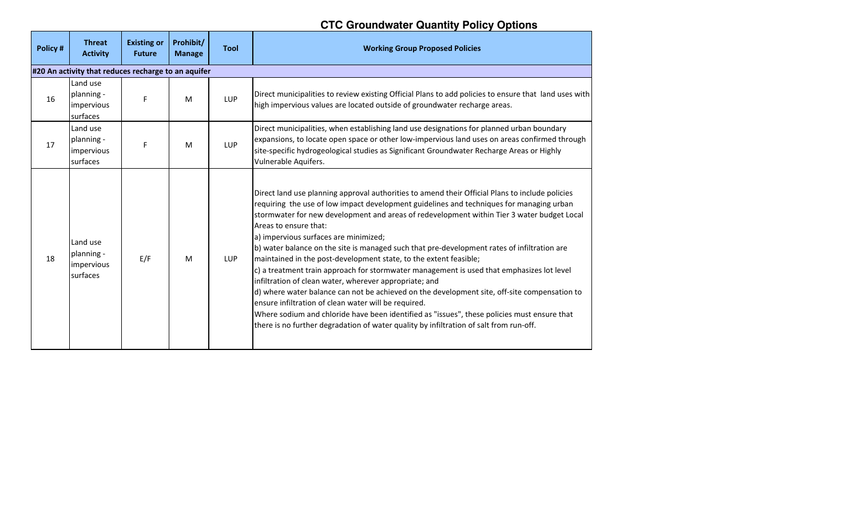## **CTC Groundwater Quantity Policy Options**

| Policy# | <b>Threat</b><br><b>Activity</b>                    | <b>Existing or</b><br><b>Future</b> | Prohibit/<br><b>Manage</b> | <b>Tool</b> | <b>Working Group Proposed Policies</b>                                                                                                                                                                                                                                                                                                                                                                                                                                                                                                                                                                                                                                                                                                                                                                                                                                                                                                                                                                                                                 |  |  |  |  |  |
|---------|-----------------------------------------------------|-------------------------------------|----------------------------|-------------|--------------------------------------------------------------------------------------------------------------------------------------------------------------------------------------------------------------------------------------------------------------------------------------------------------------------------------------------------------------------------------------------------------------------------------------------------------------------------------------------------------------------------------------------------------------------------------------------------------------------------------------------------------------------------------------------------------------------------------------------------------------------------------------------------------------------------------------------------------------------------------------------------------------------------------------------------------------------------------------------------------------------------------------------------------|--|--|--|--|--|
|         | #20 An activity that reduces recharge to an aquifer |                                     |                            |             |                                                                                                                                                                                                                                                                                                                                                                                                                                                                                                                                                                                                                                                                                                                                                                                                                                                                                                                                                                                                                                                        |  |  |  |  |  |
| 16      | Land use<br>planning -<br>impervious<br>surfaces    | F                                   | M                          | <b>LUP</b>  | Direct municipalities to review existing Official Plans to add policies to ensure that land uses with<br>high impervious values are located outside of groundwater recharge areas.                                                                                                                                                                                                                                                                                                                                                                                                                                                                                                                                                                                                                                                                                                                                                                                                                                                                     |  |  |  |  |  |
| 17      | Land use<br>planning -<br>impervious<br>surfaces    | F                                   | M                          | LUP         | Direct municipalities, when establishing land use designations for planned urban boundary<br>expansions, to locate open space or other low-impervious land uses on areas confirmed through<br>site-specific hydrogeological studies as Significant Groundwater Recharge Areas or Highly<br>Vulnerable Aquifers.                                                                                                                                                                                                                                                                                                                                                                                                                                                                                                                                                                                                                                                                                                                                        |  |  |  |  |  |
| 18      | Land use<br>planning -<br>impervious<br>surfaces    | E/F                                 | M                          | <b>LUP</b>  | Direct land use planning approval authorities to amend their Official Plans to include policies<br>requiring the use of low impact development guidelines and techniques for managing urban<br>stormwater for new development and areas of redevelopment within Tier 3 water budget Local<br>Areas to ensure that:<br>a) impervious surfaces are minimized;<br>b) water balance on the site is managed such that pre-development rates of infiltration are<br>maintained in the post-development state, to the extent feasible;<br>$\vert c \rangle$ a treatment train approach for stormwater management is used that emphasizes lot level<br>infiltration of clean water, wherever appropriate; and<br>d) where water balance can not be achieved on the development site, off-site compensation to<br>ensure infiltration of clean water will be required.<br>Where sodium and chloride have been identified as "issues", these policies must ensure that<br>there is no further degradation of water quality by infiltration of salt from run-off. |  |  |  |  |  |